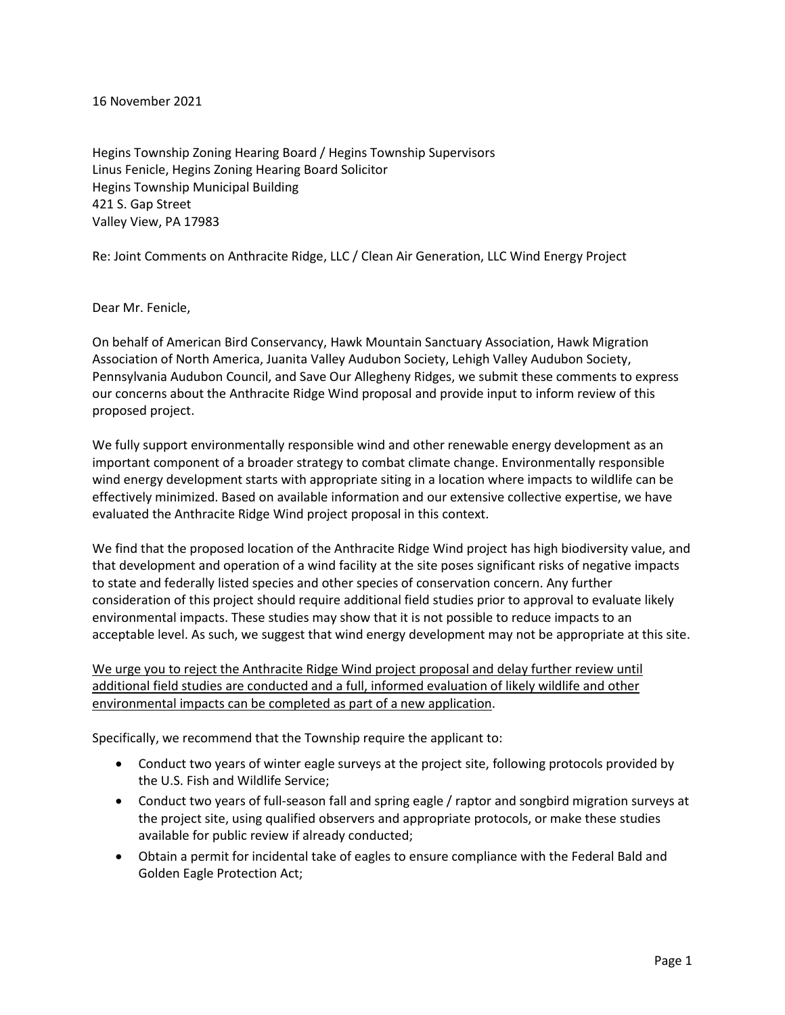16 November 2021

Hegins Township Zoning Hearing Board / Hegins Township Supervisors Linus Fenicle, Hegins Zoning Hearing Board Solicitor Hegins Township Municipal Building 421 S. Gap Street Valley View, PA 17983

Re: Joint Comments on Anthracite Ridge, LLC / Clean Air Generation, LLC Wind Energy Project

Dear Mr. Fenicle,

On behalf of American Bird Conservancy, Hawk Mountain Sanctuary Association, Hawk Migration Association of North America, Juanita Valley Audubon Society, Lehigh Valley Audubon Society, Pennsylvania Audubon Council, and Save Our Allegheny Ridges, we submit these comments to express our concerns about the Anthracite Ridge Wind proposal and provide input to inform review of this proposed project.

We fully support environmentally responsible wind and other renewable energy development as an important component of a broader strategy to combat climate change. Environmentally responsible wind energy development starts with appropriate siting in a location where impacts to wildlife can be effectively minimized. Based on available information and our extensive collective expertise, we have evaluated the Anthracite Ridge Wind project proposal in this context.

We find that the proposed location of the Anthracite Ridge Wind project has high biodiversity value, and that development and operation of a wind facility at the site poses significant risks of negative impacts to state and federally listed species and other species of conservation concern. Any further consideration of this project should require additional field studies prior to approval to evaluate likely environmental impacts. These studies may show that it is not possible to reduce impacts to an acceptable level. As such, we suggest that wind energy development may not be appropriate at this site.

We urge you to reject the Anthracite Ridge Wind project proposal and delay further review until additional field studies are conducted and a full, informed evaluation of likely wildlife and other environmental impacts can be completed as part of a new application.

Specifically, we recommend that the Township require the applicant to:

- Conduct two years of winter eagle surveys at the project site, following protocols provided by the U.S. Fish and Wildlife Service;
- Conduct two years of full-season fall and spring eagle / raptor and songbird migration surveys at the project site, using qualified observers and appropriate protocols, or make these studies available for public review if already conducted;
- Obtain a permit for incidental take of eagles to ensure compliance with the Federal Bald and Golden Eagle Protection Act;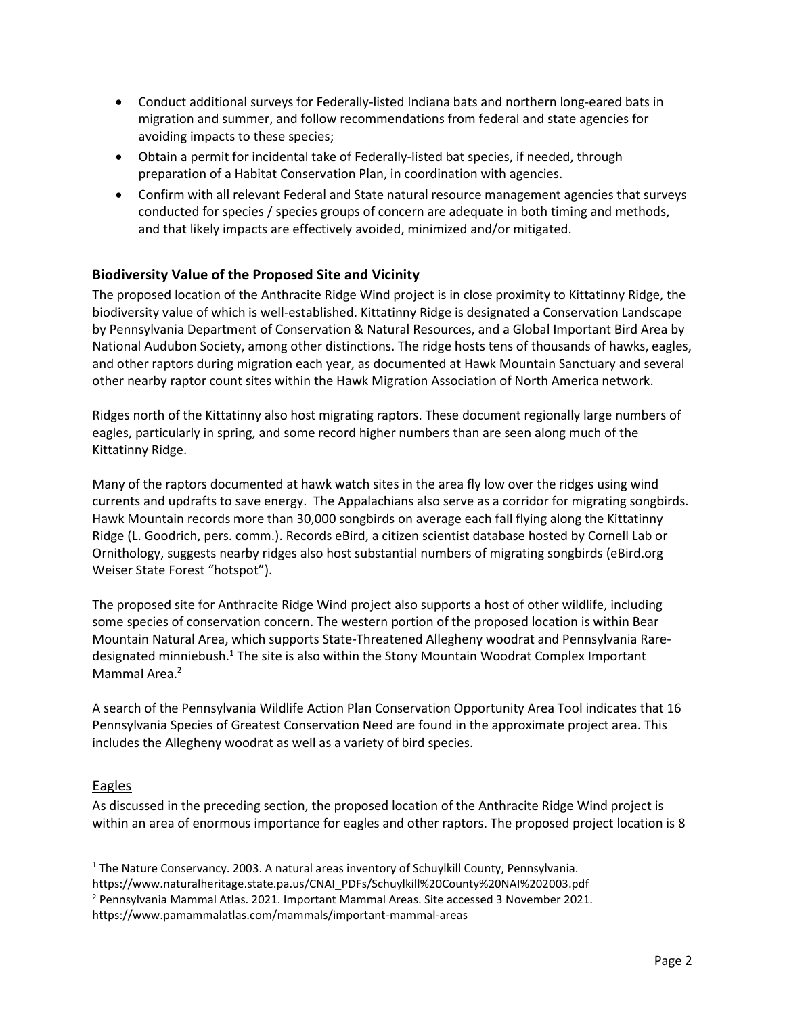- Conduct additional surveys for Federally-listed Indiana bats and northern long-eared bats in migration and summer, and follow recommendations from federal and state agencies for avoiding impacts to these species;
- Obtain a permit for incidental take of Federally-listed bat species, if needed, through preparation of a Habitat Conservation Plan, in coordination with agencies.
- Confirm with all relevant Federal and State natural resource management agencies that surveys conducted for species / species groups of concern are adequate in both timing and methods, and that likely impacts are effectively avoided, minimized and/or mitigated.

# **Biodiversity Value of the Proposed Site and Vicinity**

The proposed location of the Anthracite Ridge Wind project is in close proximity to Kittatinny Ridge, the biodiversity value of which is well-established. Kittatinny Ridge is designated a Conservation Landscape by Pennsylvania Department of Conservation & Natural Resources, and a Global Important Bird Area by National Audubon Society, among other distinctions. The ridge hosts tens of thousands of hawks, eagles, and other raptors during migration each year, as documented at Hawk Mountain Sanctuary and several other nearby raptor count sites within the Hawk Migration Association of North America network.

Ridges north of the Kittatinny also host migrating raptors. These document regionally large numbers of eagles, particularly in spring, and some record higher numbers than are seen along much of the Kittatinny Ridge.

Many of the raptors documented at hawk watch sites in the area fly low over the ridges using wind currents and updrafts to save energy. The Appalachians also serve as a corridor for migrating songbirds. Hawk Mountain records more than 30,000 songbirds on average each fall flying along the Kittatinny Ridge (L. Goodrich, pers. comm.). Records eBird, a citizen scientist database hosted by Cornell Lab or Ornithology, suggests nearby ridges also host substantial numbers of migrating songbirds (eBird.org Weiser State Forest "hotspot").

The proposed site for Anthracite Ridge Wind project also supports a host of other wildlife, including some species of conservation concern. The western portion of the proposed location is within Bear Mountain Natural Area, which supports State-Threatened Allegheny woodrat and Pennsylvania Raredesignated minniebush.<sup>1</sup> The site is also within the Stony Mountain Woodrat Complex Important Mammal Area.<sup>2</sup>

A search of the Pennsylvania Wildlife Action Plan Conservation Opportunity Area Tool indicates that 16 Pennsylvania Species of Greatest Conservation Need are found in the approximate project area. This includes the Allegheny woodrat as well as a variety of bird species.

### Eagles

 $\overline{a}$ 

As discussed in the preceding section, the proposed location of the Anthracite Ridge Wind project is within an area of enormous importance for eagles and other raptors. The proposed project location is 8

 $1$  The Nature Conservancy. 2003. A natural areas inventory of Schuylkill County, Pennsylvania.

https://www.naturalheritage.state.pa.us/CNAI\_PDFs/Schuylkill%20County%20NAI%202003.pdf

<sup>2</sup> Pennsylvania Mammal Atlas. 2021. Important Mammal Areas. Site accessed 3 November 2021.

https://www.pamammalatlas.com/mammals/important-mammal-areas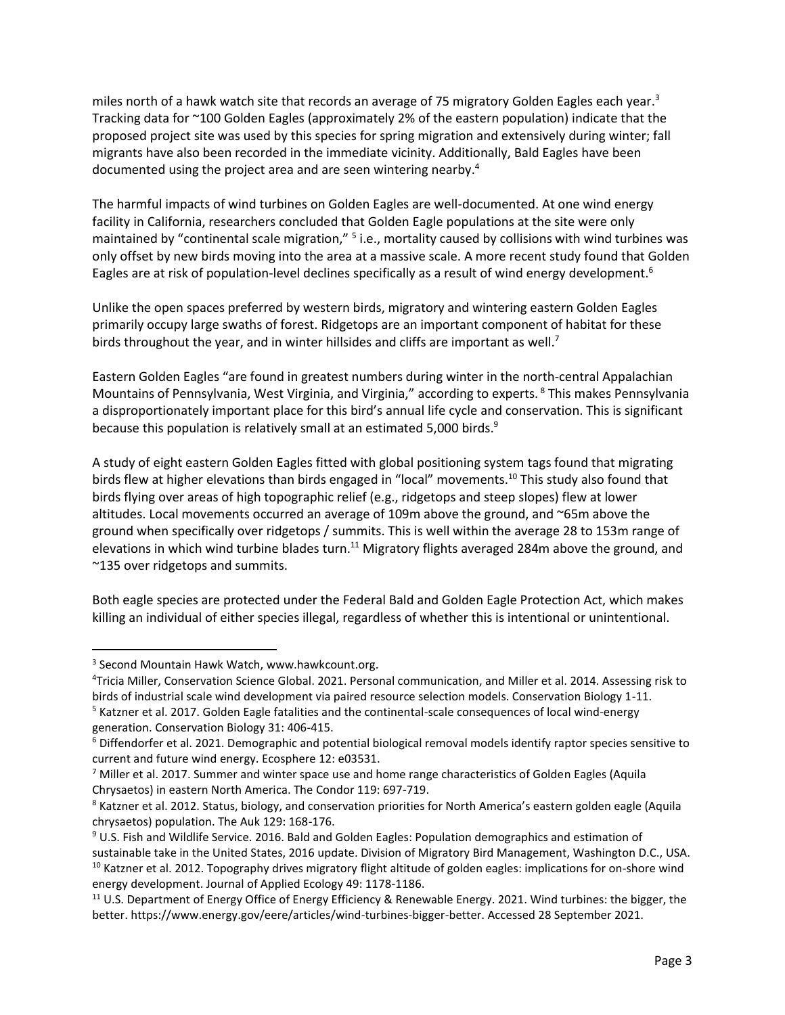miles north of a hawk watch site that records an average of 75 migratory Golden Eagles each year.<sup>3</sup> Tracking data for ~100 Golden Eagles (approximately 2% of the eastern population) indicate that the proposed project site was used by this species for spring migration and extensively during winter; fall migrants have also been recorded in the immediate vicinity. Additionally, Bald Eagles have been documented using the project area and are seen wintering nearby.<sup>4</sup>

The harmful impacts of wind turbines on Golden Eagles are well-documented. At one wind energy facility in California, researchers concluded that Golden Eagle populations at the site were only maintained by "continental scale migration," <sup>5</sup> i.e., mortality caused by collisions with wind turbines was only offset by new birds moving into the area at a massive scale. A more recent study found that Golden Eagles are at risk of population-level declines specifically as a result of wind energy development.<sup>6</sup>

Unlike the open spaces preferred by western birds, migratory and wintering eastern Golden Eagles primarily occupy large swaths of forest. Ridgetops are an important component of habitat for these birds throughout the year, and in winter hillsides and cliffs are important as well.<sup>7</sup>

Eastern Golden Eagles "are found in greatest numbers during winter in the north-central Appalachian Mountains of Pennsylvania, West Virginia, and Virginia," according to experts. <sup>8</sup> This makes Pennsylvania a disproportionately important place for this bird's annual life cycle and conservation. This is significant because this population is relatively small at an estimated 5,000 birds.<sup>9</sup>

A study of eight eastern Golden Eagles fitted with global positioning system tags found that migrating birds flew at higher elevations than birds engaged in "local" movements.<sup>10</sup> This study also found that birds flying over areas of high topographic relief (e.g., ridgetops and steep slopes) flew at lower altitudes. Local movements occurred an average of 109m above the ground, and ~65m above the ground when specifically over ridgetops / summits. This is well within the average 28 to 153m range of elevations in which wind turbine blades turn.<sup>11</sup> Migratory flights averaged 284m above the ground, and ~135 over ridgetops and summits.

Both eagle species are protected under the Federal Bald and Golden Eagle Protection Act, which makes killing an individual of either species illegal, regardless of whether this is intentional or unintentional.

 $\overline{a}$ 

<sup>3</sup> Second Mountain Hawk Watch, www.hawkcount.org.

<sup>4</sup>Tricia Miller, Conservation Science Global. 2021. Personal communication, and Miller et al. 2014. Assessing risk to birds of industrial scale wind development via paired resource selection models. Conservation Biology 1-11.

<sup>&</sup>lt;sup>5</sup> Katzner et al. 2017. Golden Eagle fatalities and the continental-scale consequences of local wind-energy generation. Conservation Biology 31: 406-415.

<sup>&</sup>lt;sup>6</sup> Diffendorfer et al. 2021. Demographic and potential biological removal models identify raptor species sensitive to current and future wind energy. Ecosphere 12: e03531.

 $7$  Miller et al. 2017. Summer and winter space use and home range characteristics of Golden Eagles (Aquila Chrysaetos) in eastern North America. The Condor 119: 697-719.

<sup>&</sup>lt;sup>8</sup> Katzner et al. 2012. Status, biology, and conservation priorities for North America's eastern golden eagle (Aquila chrysaetos) population. The Auk 129: 168-176.

<sup>9</sup> U.S. Fish and Wildlife Service. 2016. Bald and Golden Eagles: Population demographics and estimation of sustainable take in the United States, 2016 update. Division of Migratory Bird Management, Washington D.C., USA. <sup>10</sup> Katzner et al. 2012. Topography drives migratory flight altitude of golden eagles: implications for on-shore wind energy development. Journal of Applied Ecology 49: 1178-1186.

<sup>&</sup>lt;sup>11</sup> U.S. Department of Energy Office of Energy Efficiency & Renewable Energy. 2021. Wind turbines: the bigger, the better. https://www.energy.gov/eere/articles/wind-turbines-bigger-better. Accessed 28 September 2021.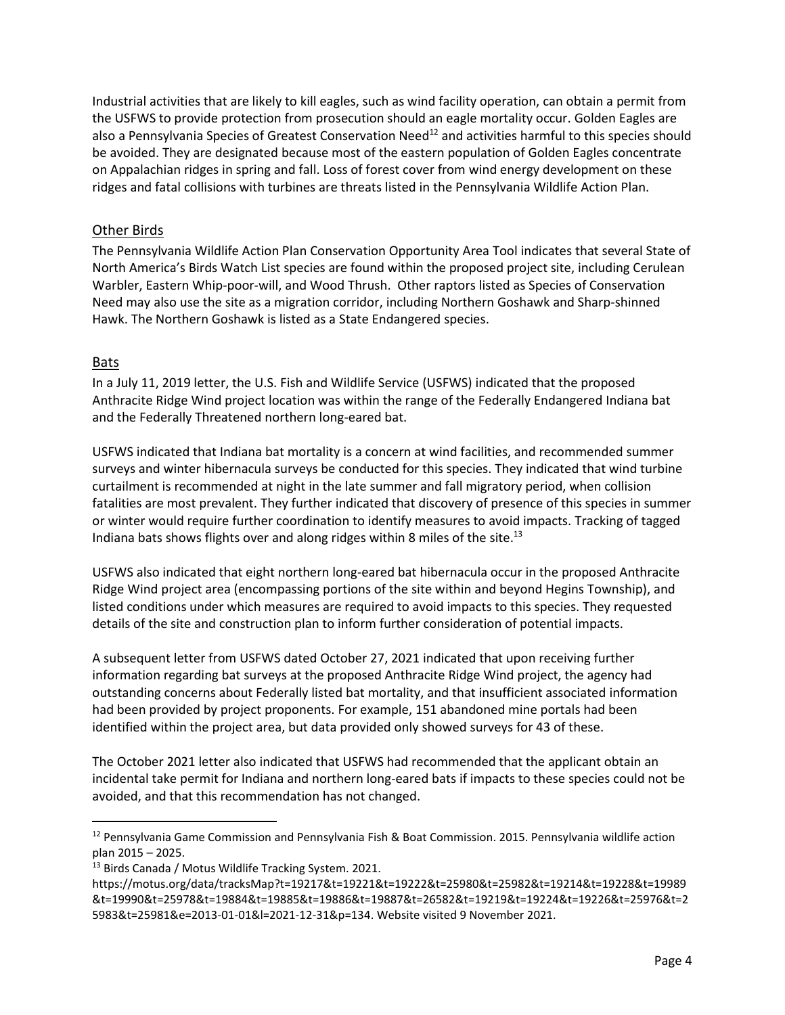Industrial activities that are likely to kill eagles, such as wind facility operation, can obtain a permit from the USFWS to provide protection from prosecution should an eagle mortality occur. Golden Eagles are also a Pennsylvania Species of Greatest Conservation Need<sup>12</sup> and activities harmful to this species should be avoided. They are designated because most of the eastern population of Golden Eagles concentrate on Appalachian ridges in spring and fall. Loss of forest cover from wind energy development on these ridges and fatal collisions with turbines are threats listed in the Pennsylvania Wildlife Action Plan.

## Other Birds

The Pennsylvania Wildlife Action Plan Conservation Opportunity Area Tool indicates that several State of North America's Birds Watch List species are found within the proposed project site, including Cerulean Warbler, Eastern Whip-poor-will, and Wood Thrush. Other raptors listed as Species of Conservation Need may also use the site as a migration corridor, including Northern Goshawk and Sharp-shinned Hawk. The Northern Goshawk is listed as a State Endangered species.

# Bats

In a July 11, 2019 letter, the U.S. Fish and Wildlife Service (USFWS) indicated that the proposed Anthracite Ridge Wind project location was within the range of the Federally Endangered Indiana bat and the Federally Threatened northern long-eared bat.

USFWS indicated that Indiana bat mortality is a concern at wind facilities, and recommended summer surveys and winter hibernacula surveys be conducted for this species. They indicated that wind turbine curtailment is recommended at night in the late summer and fall migratory period, when collision fatalities are most prevalent. They further indicated that discovery of presence of this species in summer or winter would require further coordination to identify measures to avoid impacts. Tracking of tagged Indiana bats shows flights over and along ridges within 8 miles of the site.<sup>13</sup>

USFWS also indicated that eight northern long-eared bat hibernacula occur in the proposed Anthracite Ridge Wind project area (encompassing portions of the site within and beyond Hegins Township), and listed conditions under which measures are required to avoid impacts to this species. They requested details of the site and construction plan to inform further consideration of potential impacts.

A subsequent letter from USFWS dated October 27, 2021 indicated that upon receiving further information regarding bat surveys at the proposed Anthracite Ridge Wind project, the agency had outstanding concerns about Federally listed bat mortality, and that insufficient associated information had been provided by project proponents. For example, 151 abandoned mine portals had been identified within the project area, but data provided only showed surveys for 43 of these.

The October 2021 letter also indicated that USFWS had recommended that the applicant obtain an incidental take permit for Indiana and northern long-eared bats if impacts to these species could not be avoided, and that this recommendation has not changed.

 $\overline{a}$ <sup>12</sup> Pennsylvania Game Commission and Pennsylvania Fish & Boat Commission. 2015. Pennsylvania wildlife action plan 2015 – 2025.

<sup>&</sup>lt;sup>13</sup> Birds Canada / Motus Wildlife Tracking System. 2021.

https://motus.org/data/tracksMap?t=19217&t=19221&t=19222&t=25980&t=25982&t=19214&t=19228&t=19989 &t=19990&t=25978&t=19884&t=19885&t=19886&t=19887&t=26582&t=19219&t=19224&t=19226&t=25976&t=2 5983&t=25981&e=2013-01-01&l=2021-12-31&p=134. Website visited 9 November 2021.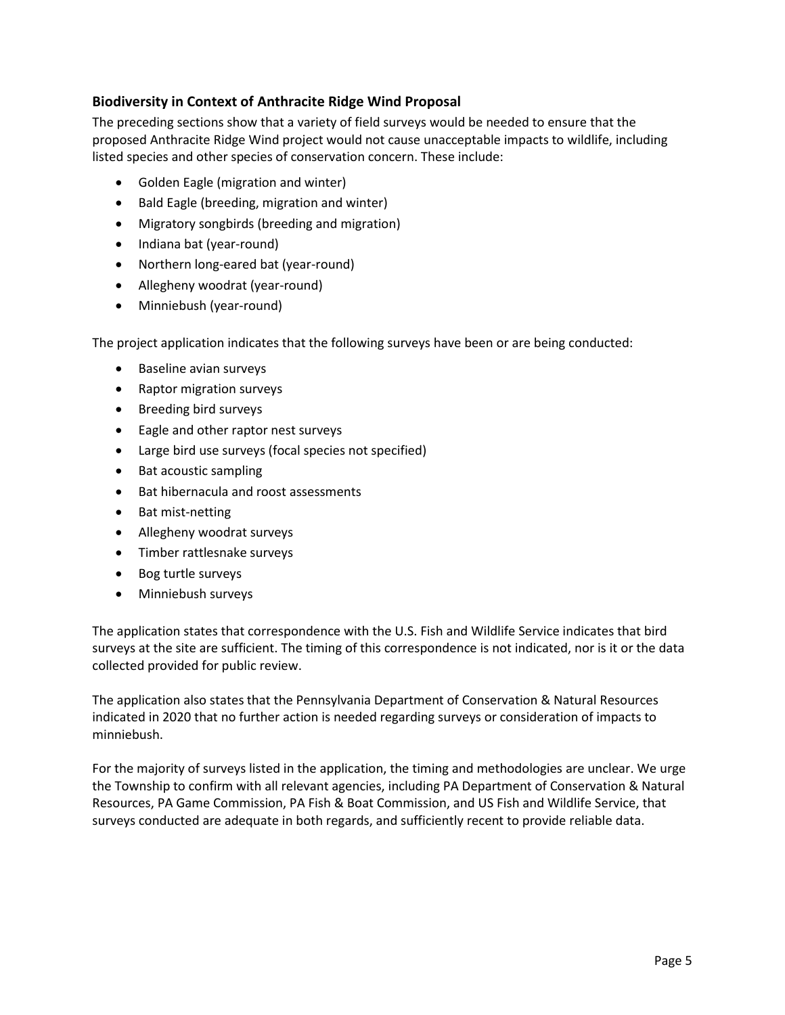# **Biodiversity in Context of Anthracite Ridge Wind Proposal**

The preceding sections show that a variety of field surveys would be needed to ensure that the proposed Anthracite Ridge Wind project would not cause unacceptable impacts to wildlife, including listed species and other species of conservation concern. These include:

- Golden Eagle (migration and winter)
- Bald Eagle (breeding, migration and winter)
- Migratory songbirds (breeding and migration)
- Indiana bat (year-round)
- Northern long-eared bat (year-round)
- Allegheny woodrat (year-round)
- Minniebush (year-round)

The project application indicates that the following surveys have been or are being conducted:

- Baseline avian surveys
- Raptor migration surveys
- Breeding bird surveys
- Eagle and other raptor nest surveys
- Large bird use surveys (focal species not specified)
- Bat acoustic sampling
- Bat hibernacula and roost assessments
- Bat mist-netting
- Allegheny woodrat surveys
- Timber rattlesnake surveys
- Bog turtle surveys
- Minniebush surveys

The application states that correspondence with the U.S. Fish and Wildlife Service indicates that bird surveys at the site are sufficient. The timing of this correspondence is not indicated, nor is it or the data collected provided for public review.

The application also states that the Pennsylvania Department of Conservation & Natural Resources indicated in 2020 that no further action is needed regarding surveys or consideration of impacts to minniebush.

For the majority of surveys listed in the application, the timing and methodologies are unclear. We urge the Township to confirm with all relevant agencies, including PA Department of Conservation & Natural Resources, PA Game Commission, PA Fish & Boat Commission, and US Fish and Wildlife Service, that surveys conducted are adequate in both regards, and sufficiently recent to provide reliable data.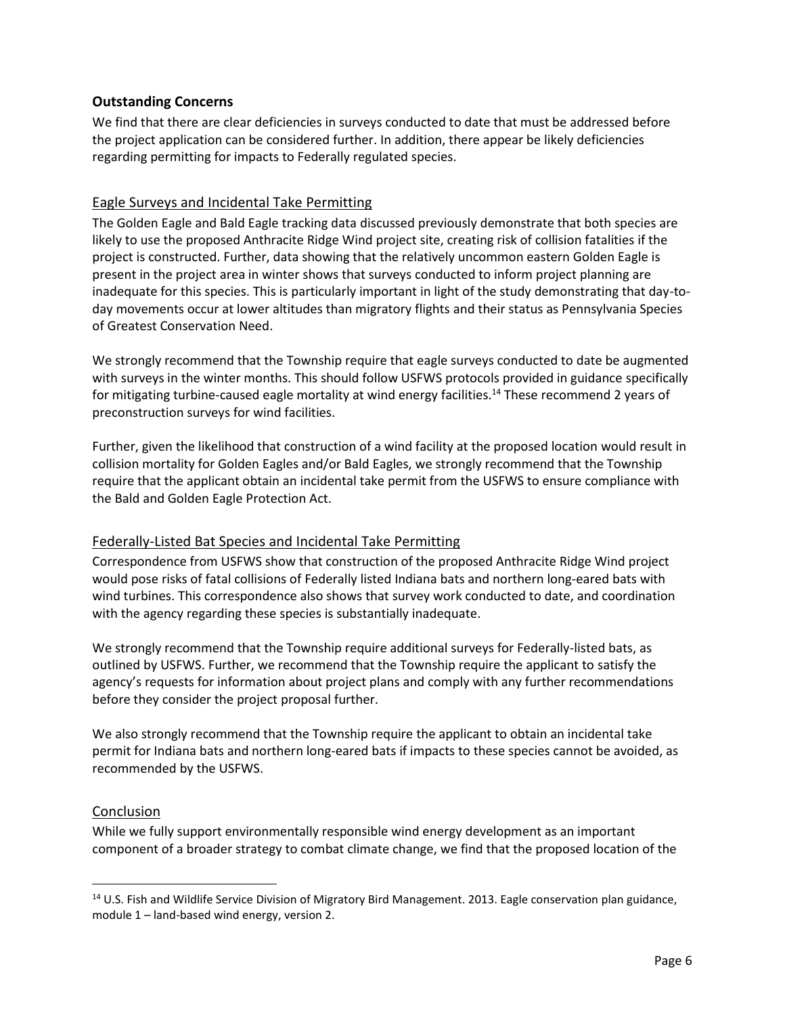### **Outstanding Concerns**

We find that there are clear deficiencies in surveys conducted to date that must be addressed before the project application can be considered further. In addition, there appear be likely deficiencies regarding permitting for impacts to Federally regulated species.

### Eagle Surveys and Incidental Take Permitting

The Golden Eagle and Bald Eagle tracking data discussed previously demonstrate that both species are likely to use the proposed Anthracite Ridge Wind project site, creating risk of collision fatalities if the project is constructed. Further, data showing that the relatively uncommon eastern Golden Eagle is present in the project area in winter shows that surveys conducted to inform project planning are inadequate for this species. This is particularly important in light of the study demonstrating that day-today movements occur at lower altitudes than migratory flights and their status as Pennsylvania Species of Greatest Conservation Need.

We strongly recommend that the Township require that eagle surveys conducted to date be augmented with surveys in the winter months. This should follow USFWS protocols provided in guidance specifically for mitigating turbine-caused eagle mortality at wind energy facilities.<sup>14</sup> These recommend 2 years of preconstruction surveys for wind facilities.

Further, given the likelihood that construction of a wind facility at the proposed location would result in collision mortality for Golden Eagles and/or Bald Eagles, we strongly recommend that the Township require that the applicant obtain an incidental take permit from the USFWS to ensure compliance with the Bald and Golden Eagle Protection Act.

#### Federally-Listed Bat Species and Incidental Take Permitting

Correspondence from USFWS show that construction of the proposed Anthracite Ridge Wind project would pose risks of fatal collisions of Federally listed Indiana bats and northern long-eared bats with wind turbines. This correspondence also shows that survey work conducted to date, and coordination with the agency regarding these species is substantially inadequate.

We strongly recommend that the Township require additional surveys for Federally-listed bats, as outlined by USFWS. Further, we recommend that the Township require the applicant to satisfy the agency's requests for information about project plans and comply with any further recommendations before they consider the project proposal further.

We also strongly recommend that the Township require the applicant to obtain an incidental take permit for Indiana bats and northern long-eared bats if impacts to these species cannot be avoided, as recommended by the USFWS.

#### Conclusion

 $\overline{a}$ 

While we fully support environmentally responsible wind energy development as an important component of a broader strategy to combat climate change, we find that the proposed location of the

<sup>&</sup>lt;sup>14</sup> U.S. Fish and Wildlife Service Division of Migratory Bird Management. 2013. Eagle conservation plan guidance, module 1 – land-based wind energy, version 2.